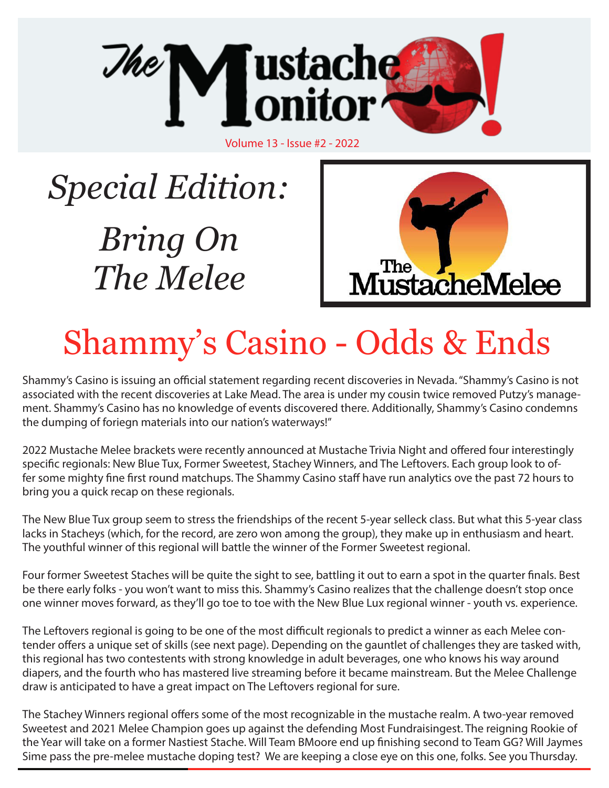

# *Special Edition: Bring On The Melee*



## Shammy's Casino - Odds & Ends

Shammy's Casino is issuing an official statement regarding recent discoveries in Nevada. "Shammy's Casino is not associated with the recent discoveries at Lake Mead. The area is under my cousin twice removed Putzy's management. Shammy's Casino has no knowledge of events discovered there. Additionally, Shammy's Casino condemns the dumping of foriegn materials into our nation's waterways!"

2022 Mustache Melee brackets were recently announced at Mustache Trivia Night and offered four interestingly specific regionals: New Blue Tux, Former Sweetest, Stachey Winners, and The Leftovers. Each group look to offer some mighty fine first round matchups. The Shammy Casino staff have run analytics ove the past 72 hours to bring you a quick recap on these regionals.

The New Blue Tux group seem to stress the friendships of the recent 5-year selleck class. But what this 5-year class lacks in Stacheys (which, for the record, are zero won among the group), they make up in enthusiasm and heart. The youthful winner of this regional will battle the winner of the Former Sweetest regional.

Four former Sweetest Staches will be quite the sight to see, battling it out to earn a spot in the quarter finals. Best be there early folks - you won't want to miss this. Shammy's Casino realizes that the challenge doesn't stop once one winner moves forward, as they'll go toe to toe with the New Blue Lux regional winner - youth vs. experience.

The Leftovers regional is going to be one of the most difficult regionals to predict a winner as each Melee contender offers a unique set of skills (see next page). Depending on the gauntlet of challenges they are tasked with, this regional has two contestents with strong knowledge in adult beverages, one who knows his way around diapers, and the fourth who has mastered live streaming before it became mainstream. But the Melee Challenge draw is anticipated to have a great impact on The Leftovers regional for sure.

The Stachey Winners regional offers some of the most recognizable in the mustache realm. A two-year removed Sweetest and 2021 Melee Champion goes up against the defending Most Fundraisingest. The reigning Rookie of the Year will take on a former Nastiest Stache. Will Team BMoore end up finishing second to Team GG? Will Jaymes Sime pass the pre-melee mustache doping test? We are keeping a close eye on this one, folks. See you Thursday.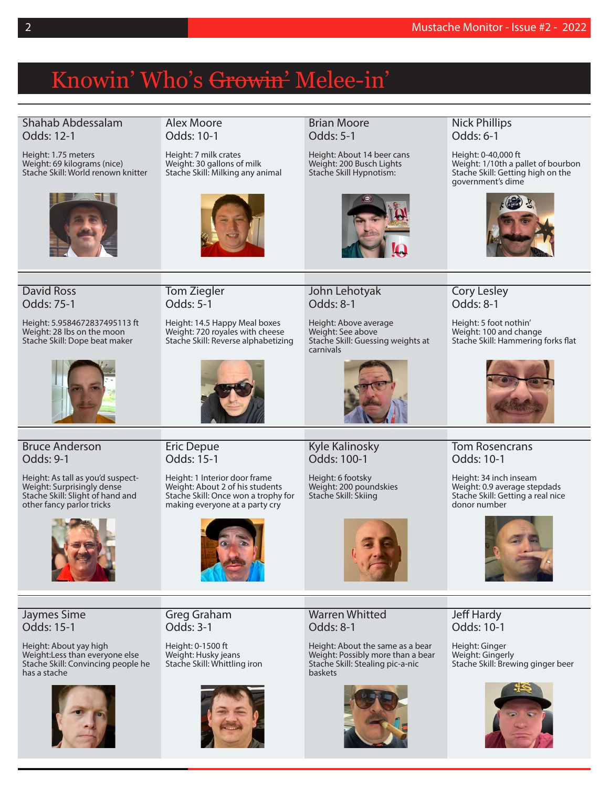### Knowin' Who's Growin' Melee-in'

#### Shahab Abdessalam Odds: 12-1

Height: 1.75 meters Weight: 69 kilograms (nice) Stache Skill: World renown knitter



#### Alex Moore Odds: 10-1

Height: 7 milk crates Weight: 30 gallons of milk Stache Skill: Milking any animal



#### Brian Moore Odds: 5-1

Height: About 14 beer cans Weight: 200 Busch Lights Stache Skill Hypnotism:



#### Nick Phillips Odds: 6-1

Height: 0-40,000 ft Weight: 1/10th a pallet of bourbon Stache Skill: Getting high on the government's dime



#### David Ross Odds: 75-1

Height: 5.9584672837495113 ft Weight: 28 lbs on the moon Stache Skill: Dope beat maker



Tom Ziegler Odds: 5-1

Height: 14.5 Happy Meal boxes Weight: 720 royales with cheese Stache Skill: Reverse alphabetizing



John Lehotyak Odds: 8-1

Height: Above average Weight: See above Stache Skill: Guessing weights at carnivals



Cory Lesley Odds: 8-1

Height: 5 foot nothin' Weight: 100 and change Stache Skill: Hammering forks flat



#### Bruce Anderson Odds: 9-1

Height: As tall as you'd suspect-Weight: Surprisingly dense Stache Skill: Slight of hand and other fancy parlor tricks



Eric Depue Odds: 15-1

Height: 1 Interior door frame Weight: About 2 of his students Stache Skill: Once won a trophy for making everyone at a party cry



Kyle Kalinosky Odds: 100-1

Height: 6 footsky Weight: 200 poundskies Stache Skill: Skiing



Height: About the same as a bear Weight: Possibly more than a bear Stache Skill: Stealing pic-a-nic baskets



### Tom Rosencrans Odds: 10-1

Height: 34 inch inseam Weight: 0.9 average stepdads Stache Skill: Getting a real nice donor number



Jaymes Sime Odds: 15-1

Height: About yay high Weight:Less than everyone else Stache Skill: Convincing people he has a stache



Greg Graham Odds: 3-1

Height: 0-1500 ft Weight: Husky jeans Stache Skill: Whittling iron



Warren Whitted Odds: 8-1



Jeff Hardy Odds: 10-1

Height: Ginger Weight: Gingerly Stache Skill: Brewing ginger beer